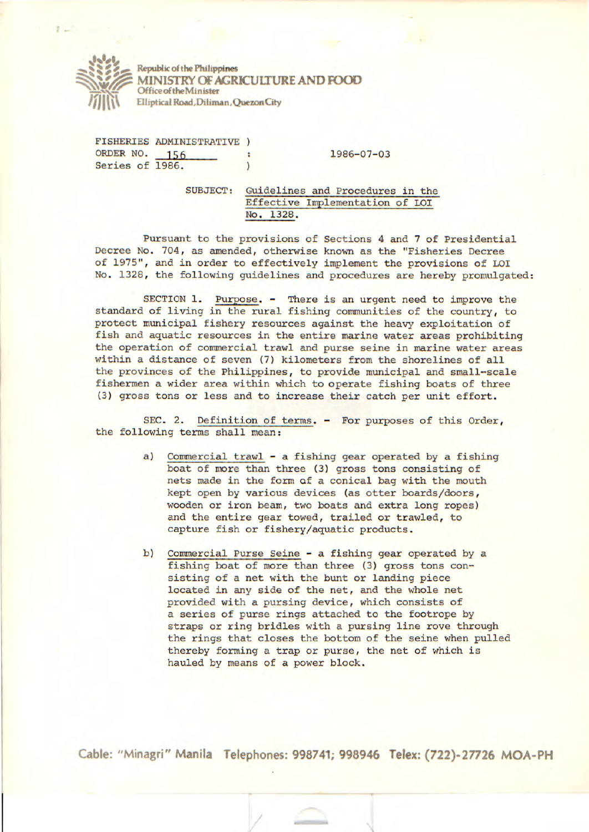

**000 Republic of the Philippines MINISTRY OF AGRICULTURE AND FOOD OfficeoftheMinister**  Elliptical Road, Diliman, Quezon City

**FISHERIES ADMINISTRATIVE**  ORDER NO. 156 : 1986-07-03<br>Series of 1986. (1986) Series of 1986.

SUBJECT: Guidelines and Procedures in the Effective Implementation of LOl No. 1328.

Pursuant to the provisions of Sections 4 and 7 of Presidential Decree No. 704, as amended, otherwise known as the "Fisheries Decree of 1975", and in order to effectively implement the provisions of LOI No. 1328, the following guidelines and procedures are hereby promulgated:

SECTION 1. Purpose. - There is an urgent need to improve the standard of living in the rural fishing communities of the country, to protect municipal fishery resources against the heavy exploitation of fish and aquatic resources in the entire marine water areas prohibiting the operation of commercial trawl and purse seine in marine water areas within a distance of seven (7) kilometers from the shorelines of all the provinces of the Philippines, to provide municipal and small-scale fishermen a wider area within which to operate fishing boats of three (3) gross tons or less and to increase their catch per unit effort.

SEC. 2. Definition of terms. - For purposes of this Order, the following terms shall mean:

- a) Commercial trawl a fishing gear operated by a fishing boat of more than three (3) gross tons consisting of nets made in the form of a conical bag with the mouth kept open by various devices (as otter boards/doors, wooden or iron beam, two boats and extra long ropes) and the entire gear towed, trailed or trawled, to capture fish or fishery/aquatic products.
- b) Commercial Purse Seine a fishing gear operated by a fishing boat of more than three (3) gross tons consisting of a net with the bunt or landing piece located in any side of the net, and the whole net provided with a pursing device, which consists of a series of purse rings attached to the footrope by straps or ring bridles with a pursing line rove through the rings that closes the bottom of the seine when pulled thereby forming a trap or purse, the net of which is hauled by means of a power block.

**Cable: "Minagri" Manila Telephones: 998741; 998946 Telex: (722)-27726 MOA-PH** 

/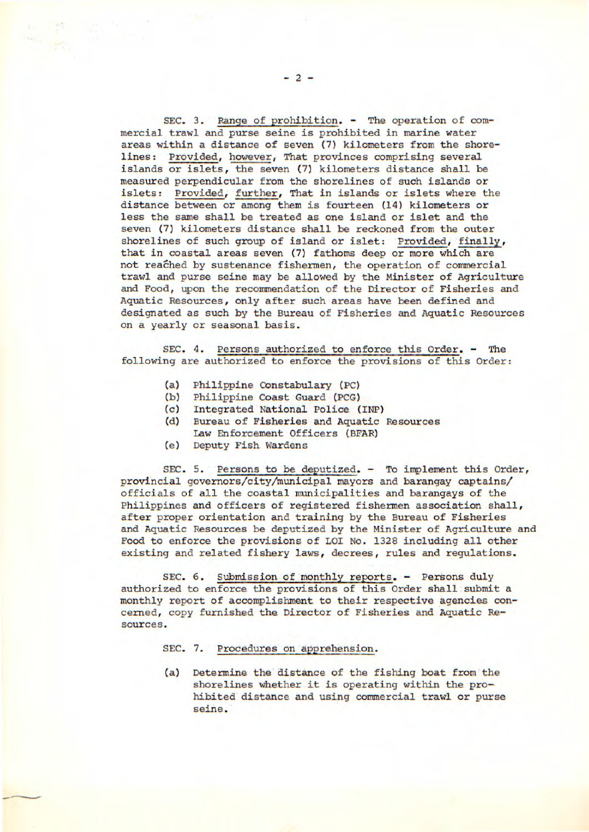SEC. 3. Range of prohibition. - The operation of commercial trawl and purse seine is prohibited in marine water areas within a distance of seven (7) kilometers from the shorelines: Provided, however, That provinces comprising several islands or islets, the seven (7) kilometers distance shall be measured perpendicular from the shorelines of such islands or islets: Provided, further, That in islands or islets where the distance between or among them is fourteen (14) kilometers or less the same shall be treated as one island or islet and the seven (7) kilometers distance shall be reckoned from the outer shorelines of such group of island or islet: Provided, finally, that in coastal areas seven (7) fathoms deep or more which are not reached by sustenance fishermen, the operation of commercial trawl and purse seine may be allowed by the Minister of Agriculture and Food, upon the recommendation of the Director of Fisheries and Aquatic Resources, only after such areas have been defined and designated as such by the Bureau of Fisheries and Aquatic Resources on a yearly or seasonal basis.

SEC. 4. Persons authorized to enforce this Order. - The following are authorized to enforce the provisions of this Order:

- (a) Philippine Constabulary (PC)
- Philippine Coast Guard (PCG)
- (c) Integrated National Police (INP)
- (d) Bureau of Fisheries and Aquatic Resources Law Enforcement Officers (BFAR)
- 
- (e) Deputy Fish Wardens

SEC. 5. Persons to be deputized. - To implement this Order, provincial governors/city/municipal mayors and barangay captains/ officials of all the coastal municipalities and barangays of the Philippines and officers of registered fishermen association shall, after proper *orientation* and training by the Bureau of Fisheries and Aquatic Resources be deputized by the Minister of Agriculture and Food to enforce the provisions of LOI No. 1328 including all other existing and related fishery laws, decrees, rules and regulations.

SEC. 6. Submission of monthly reports. - Persons duly authorized to enforce the provisions of this Order shall submit a monthly report of accomplishment to their respective agencies concerned, copy furnished the Director of Fisheries and Aquatic Resources.

SEC. 7. Procedures on apprehension.

(a) Determine the distance of the fishing boat from the shorelines whether it is operating within the prohibited distance and using commercial trawl or purse seine.